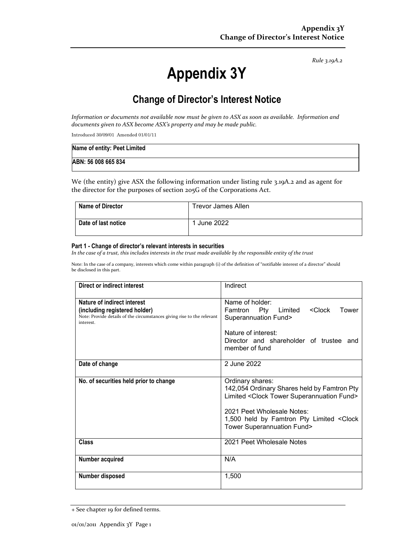*Rule 3.19A.2*

# **Appendix 3Y**

# **Change of Director's Interest Notice**

*Information or documents not available now must be given to ASX as soon as available. Information and documents given to ASX become ASX's property and may be made public.*

Introduced 30/09/01 Amended 01/01/11

| Name of entity: Peet Limited |  |
|------------------------------|--|
| ABN: 56 008 665 834          |  |

We (the entity) give ASX the following information under listing rule 3.19A.2 and as agent for the director for the purposes of section 205G of the Corporations Act.

| <b>Name of Director</b> | <b>Trevor James Allen</b> |
|-------------------------|---------------------------|
| Date of last notice     | June 2022                 |

#### **Part 1 - Change of director's relevant interests in securities**

*In the case of a trust, this includes interests in the trust made available by the responsible entity of the trust*

Note: In the case of a company, interests which come within paragraph (i) of the definition of "notifiable interest of a director" should be disclosed in this part.

| <b>Direct or indirect interest</b>                                                                                                                  | Indirect                                                                                                                                                                                                                         |
|-----------------------------------------------------------------------------------------------------------------------------------------------------|----------------------------------------------------------------------------------------------------------------------------------------------------------------------------------------------------------------------------------|
| Nature of indirect interest<br>(including registered holder)<br>Note: Provide details of the circumstances giving rise to the relevant<br>interest. | Name of holder:<br><clock<br>Famtron Pty Limited<br/>Tower<br/>Superannuation Fund&gt;<br/>Nature of interest:<br/>Director and shareholder of trustee and<br/>member of fund</clock<br>                                         |
| Date of change                                                                                                                                      | 2 June 2022                                                                                                                                                                                                                      |
| No. of securities held prior to change                                                                                                              | Ordinary shares:<br>142,054 Ordinary Shares held by Famtron Pty<br>Limited < Clock Tower Superannuation Fund><br>2021 Peet Wholesale Notes:<br>1,500 held by Famtron Pty Limited < Clock<br><b>Tower Superannuation Fund&gt;</b> |
| <b>Class</b>                                                                                                                                        | 2021 Peet Wholesale Notes                                                                                                                                                                                                        |
| Number acquired                                                                                                                                     | N/A                                                                                                                                                                                                                              |
| Number disposed                                                                                                                                     | 1,500                                                                                                                                                                                                                            |

<sup>+</sup> See chapter 19 for defined terms.